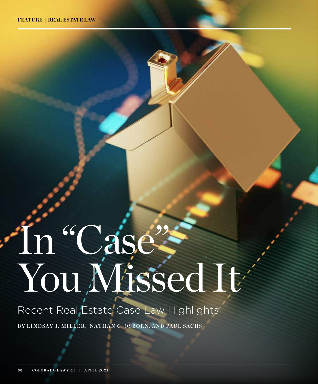# In "Case" You Missed It

Recent Real Estate Case Law Highlights **BY LINDSAY J. MILLER, NATHAN G. OSBORN, AND PAUL SACHS**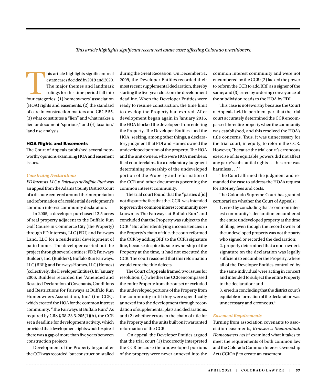*This article highlights significant recent real estate cases affecting Colorado practitioners.* 

his article highlights significant real<br>
estate cases decided in 2019 and 2020.<br>
The major themes and landmark<br>
rulings for this time period fall into<br>
four categories: (1) homeowners' association estate cases decided in 2019 and 2020. The major themes and landmark rulings for this time period fall into (HOA) rights and easements, (2) the standard of care in construction matters and CRCP 55, (3) what constitutes a "lien" and what makes a lien or document "spurious," and (4) taxation/ land use analysis.

## HOA Rights and Easements

The Court of Appeals published several noteworthy opinions examining HOA and easement issues.

# *Construing Declarations*

*FD Interests, LLC v. Fairways at Buffalo Run*<sup>1</sup> was an appeal from the Adams County District Court of a dispute centered around the interpretation and reformation of a residential development's common interest community declaration.

In 2005, a developer purchased 12.5 acres of real property adjacent to the Buffalo Run Golf Course in Commerce City (the Property) through FD Interests, LLC (FDI) and Fairways Land, LLC for a residential development of patio homes. The developer carried out the project through several entities: FDI; Fairways Builders, Inc. (Builders); Buffalo Run Fairways, LLC (BRF); and Fairways Homes, LLC (Homes) (collectively, the Developer Entities). In January 2006, Builders recorded the "Amended and Restated Declaration of Covenants, Conditions and Restrictions for Fairways at Buffalo Run Homeowners Association, Inc." (the CCR), which created the HOA for the common interest community, "The Fairways at Buffalo Run." As required by CRS § 38-33.3-205(1)(h), the CCR set a deadline for development activity, which provided that development rights would expire if there was a gap of more than five years between construction projects.

Development of the Property began after the CCR was recorded, but construction stalled during the Great Recession. On December 31, 2009, the Developer Entities recorded their most recent supplemental declaration, thereby starting the five-year clock on the development deadline. When the Developer Entities were ready to resume construction, the time limit to develop the Property had expired. After development began again in January 2016, the HOA blocked the developers from entering the Property. The Developer Entities sued the HOA, seeking, among other things, a declaratory judgment that FDI and Homes owned the undeveloped portion of the property. The HOA and the unit owners, who were HOA members, filed counterclaims for a declaratory judgment determining ownership of the undeveloped portion of the Property and reformation of the CCR and other documents governing the common interest community.

The trial court found that the "parties d[id] not dispute the fact that the [CCR] was intended to govern the common interest community now known as The Fairways at Buffalo Run" and concluded that the Property was subject to the CCR.2 But after identifying inconsistencies in the Property's chain of title, the court reformed the CCR by adding BRF to the CCR's signature line, because despite its sole ownership of the Property at the time, it had not executed the CCR. The court reasoned that this reformation would cure the title defects.

The Court of Appeals framed two issues for resolution: (1) whether the CCR encompassed the entire Property from the outset or excluded the undeveloped portions of the Property from the community until they were specifically annexed into the development through recordation of supplemental plats and declarations, and (2) whether errors in the chain of title for the Property and the units built on it warranted reformation of the CCR.

 On appeal, the Developer Entities argued that the trial court (1) incorrectly interpreted the CCR because the undeveloped portions of the property were never annexed into the common interest community and were not encumbered by the CCR; (2) lacked the power to reform the CCR to add BRF as a signer of the same; and (3) erred by ordering conveyance of the subdivision roads to the HOA by FDI.

This case is noteworthy because the Court of Appeals held in pertinent part that the trial court accurately determined the CCR encompassed the entire property when the community was established, and this resolved the HOA's title concerns. Thus, it was unnecessary for the trial court, in equity, to reform the CCR. However, "because the trial court's erroneous exercise of its equitable powers did not affect any party's substantial rights . . . this error was harmless . . ."3

The Court affirmed the judgment and remanded the case to address the HOA's request for attorney fees and costs.

The Colorado Supreme Court has granted certiorari on whether the Court of Appeals:

1. erred by concluding that a common interest community's declaration encumbered the entire undeveloped property at the time of filing, even though the record owner of the undeveloped property was not the party who signed or recorded the declaration; 2. properly determined that a non-owner's signature on the declaration was legally sufficient to encumber the Property, where all of the Developer Entities controlled by the same individual were acting in concert and intended to subject the entire Property to the declaration; and

3. erred in concluding that the district court's equitable reformation of the declaration was unnecessary and erroneous.<sup>4</sup>

### *Easement Requirements*

Turning from association covenants to association easements, *Kroesen v. Shenandoah Homeowners Ass'n*<sup>5</sup> examined what it takes to meet the requirements of both common law and the Colorado Common Interest Ownership Act (CCIOA)<sup>6</sup> to create an easement.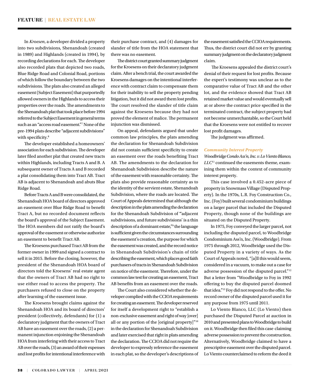In *Kroesen*, a developer divided a property into two subdivisions, Shenandoah (created in 1989) and Highlands (created in 1994), by recording declarations for each. The developer also recorded plats that depicted two roads, Blue Ridge Road and Colonial Road, portions of which follow the boundary between the two subdivisions. The plats also created an alleged easement (Subject Easement) that purportedly allowed owners in the Highlands to access their properties over the roads. The amendments to the Shenandoah plat that took place before 1994 referred to the Subject Easement in general terms such as an "access road easement."7 None of the pre-1994 plats describe "adjacent subdivisions" with specificity.<sup>8</sup>

The developer established a homeowners' association for each subdivision. The developer later filed another plat that created new tracts within Highlands, including Tracts A and B. A subsequent owner of Tracts A and B recorded a plat consolidating them into Tract AB. Tract AB is adjacent to Shenandoah and abuts Blue Ridge Road.

Before Tracts A and B were consolidated, the Shenandoah HOA board of directors approved an easement over Blue Ridge Road to benefit Tract A, but no recorded document reflects the board's approval of the Subject Easement. The HOA members did not ratify the board's approval of the easement or otherwise authorize an easement to benefit Tract AB.

The Kroesens purchased Tract AB from the former owner in 1999 and signed a contract to sell it in 2015. Before the closing, however, the president of the Shenandoah HOA board of directors told the Kroesens' real estate agent that the owners of Tract AB had no right to use either road to access the property. The purchasers refused to close on the property after learning of the easement issue.

The Kroesens brought claims against the Shenandoah HOA and its board of directors' president (collectively, defendants) for (1) a declaratory judgment that the owners of Tract AB have an easement over the roads, (2) a permanent injunction enjoining the Shenandoah HOA from interfering with their access to Tract AB over the roads, (3) an award of their expenses and lost profits for intentional interference with

their purchase contract, and (4) damages for slander of title from the HOA statement that there was no easement.

The district court granted summary judgment for the Kroesens on their declaratory judgment claim. After a bench trial, the court awarded the Kroesens damages on the intentional interference with contract claim to compensate them for their inability to sell the property pending litigation, but it did not award them lost profits. The court resolved the slander of title claim against the Kroesens because they had not proved the element of malice. The permanent injunction was dismissed.

On appeal, defendants argued that under common law principles, the plats amending the declaration for Shenandoah Subdivision did not contain sufficient specificity to create an easement over the roads benefiting Tract AB. The amendments to the declaration for Shenandoah Subdivision describe the nature of the easement with reasonable certainty. The plats also provide reasonable certainty as to the identity of the servient estate, Shenandoah Subdivision, where the roads are located. The Court of Appeals determined that although the description in the plats amending the declaration for the Shenandoah Subdivision of "'adjacent subdivisions, and future subdivisions' is a thin description of a dominant estate,"9 the language is sufficient given the circumstances surrounding the easement's creation, the purpose for which the easement was created, and the record notice in Shenandoah Subdivision's chain of title describing the easement, which places good faith purchasers of tracts in Shenandoah Subdivision on notice of the easement. Therefore, under the common law test for creating an easement, Tract AB benefits from an easement over the roads.

The Court also considered whether the developer complied with the CCIOA requirements for creating an easement.The developer reserved for itself a development right to "establish a non-exclusive easement and right of way [over] all or any portion of the [original property]"10 in the declaration for Shenandoah Subdivision and later exercised that right in plats amending the declaration. The CCIOA did not require the developer to expressly reference the easement in each plat, so the developer's descriptions of the easement satisfied the CCIOA requirements. Thus, the district court did not err by granting summary judgment on the declaratory judgment claim.

 The Kroesens appealed the district court's denial of their request for lost profits. Because the expert's testimony was unclear as to the comparative value of Tract AB and the other lot, and the evidence showed that Tract AB retained market value and would eventually sell at or above the contract price specified in the terminated contract, the subject property had not become unmerchantable, so the Court held that the Kroesens were not entitled to recover lost profit damages.

The judgment was affirmed.

## *Community Interest Property*

*Woodbridge Condo Ass'n, Inc. v. Lo Viento Blanco, LLC*<sup>11</sup> continued the easements theme, examining them within the context of community interest property.

This case involved a 0.452-acre piece of property in Snowmass Village (Disputed Property). In the 1970s, L.R. Foy Construction Co., Inc. (Foy) built several condominium buildings on a larger parcel that included the Disputed Property, though none of the buildings are situated on the Disputed Property.

In 1975, Foy conveyed the larger parcel, not including the disputed parcel, to Woodbridge Condominium Ass'n, Inc. (Woodbridge). From 1975 through 2012, Woodbridge used the Disputed Property in a variety of ways. As the Court of Appeals noted, "[a]ll this would seem, considered in a vacuum, to make out a case for adverse possession of the disputed parcel."12 But a letter from "Woodbridge to Foy in 1992 offering to buy the disputed parcel doomed that idea."13 Foy did not respond to the offer. No record owner of the disputed parcel used it for any purpose from 1975 until 2011.

Lo Viento Blanco, LLC (Lo Viento) then purchased the Disputed Parcel at auction in 2010 and presented plans to Woodbridge to build on it. Woodbridge then filed this case claiming adverse possession to prevent the construction. Alternatively, Woodbridge claimed to have a prescriptive easement over the disputed parcel. Lo Viento counterclaimed to reform the deed it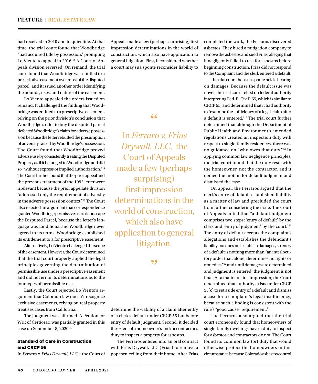had received in 2010 and to quiet title. At that time, the trial court found that Woodbridge "had acquired title by possession," prompting Lo Viento to appeal in  $2016.<sup>14</sup>$  A Court of Appeals division reversed. On remand, the trial court found that Woodbridge was entitled to a prescriptive easement over most of the disputed parcel, and it issued another order identifying the bounds, uses, and nature of the easement.

Lo Viento appealed the orders issued on remand. It challenged the finding that Woodbridge was entitled to a prescriptive easement, relying on the prior division's conclusion that Woodbridge's offer to buy the disputed parcel defeated Woodbridge's claim for adverse possession because the letter rebutted the presumption of adversity raised by Woodbridge's possession. The Court found that Woodbridge proved adverse use by consistently treating the Disputed Property as if it belonged to Woodbridge and did so "without express or implied authorization."15 The Court further found that the prior appeal and the previous treatment of the 1992 letter were irrelevant because the prior appellate division "addressed only the requirement of adversity in the adverse possession context."16 The Court also rejected an argument that correspondence granted Woodbridge permissive use to landscape the Disputed Parcel, because the letter's language was conditional and Woodbridge never agreed to its terms. Woodbridge established its entitlement to a for prescriptive easement.

Alternatively, Lo Viento challenged the scope of the easement. However, the Court determined that the trial court properly applied the legal principles governing the determination of permissible use under a prescriptive easement and did not err in its determinations as to the four types of permissible uses.

Lastly, the Court rejected Lo Viento's argument that Colorado law doesn't recognize exclusive easements, relying on real property treatises cases from California.

The judgment was affirmed. A Petition for Writ of Certiorari was partially granted in this case on September 8, 2020.17

# Standard of Care in Construction and CRCP 55

In *Ferraro v. Frias Drywall, LLC*, <sup>18</sup> the Court of

Appeals made a few (perhaps surprising) first impression determinations in the world of construction, which also have application to general litigation. First, it considered whether a court may sua sponte reconsider liability to

"

In *Ferraro v. Frias Drywall, LLC,* the Court of Appeals made a few (perhaps surprising) first impression determinations in the world of construction, which also have application to general litigation.

,,

determine the viability of a claim after entry of a clerk's default under CRCP 55 but before entry of default judgment. Second, it decided the extent of a homeowner's and/or contractor's duty to inspect a property for asbestos.

The Ferraros entered into an oral contract with Frias Drywall, LLC (Frias) to remove a popcorn ceiling from their home. After Frias completed the work, the Ferraros discovered asbestos. They hired a mitigation company to remove the asbestos and sued Frias, alleging that it negligently failed to test for asbestos before beginning construction. Frias did not respond to the Complaint and the clerk entered a default.

The trial court then sua sponte held a hearing on damages. Because the default issue was novel, the trial court relied on federal authority interpreting Fed. R. Civ. P. 55, which is similar to CRCP 55, and determined that it had authority to "examine the sufficiency of a legal claim after a default is entered."19 The trial court further determined that although the Department of Public Health and Environment's amended regulations created an inspection duty with respect to single-family residences, there was no guidance on "who owes that duty."20 In applying common law negligence principles, the trial court found that the duty rests with the homeowner, not the contractor, and it denied the motion for default judgment and dismissed the case.

On appeal, the Ferraros argued that the clerk's entry of default established liability as a matter of law and precluded the court from further considering the issue. The Court of Appeals noted that "a default judgment comprises two steps: 'entry of default' by the clerk and 'entry of judgment' by the court."21 The entry of default accepts the complaint's allegations and establishes the defendant's liability but does not establish damages, so entry of a default is nothing more than "an interlocutory order that, alone, determines no rights or remedies,"22 and until damages are determined and judgment is entered, the judgment is not final. As a matter of first impression, the Court determined that authority exists under CRCP 55(c) to set aside entry of a default and dismiss a case for a complaint's legal insufficiency, because such a finding is consistent with the rule's "good cause" requirement.23

The Ferraros also argued that the trial court erroneously found that homeowners of single-family dwellings have a duty to inspect for asbestos and contractors do not. The Court found no common law tort duty that would otherwise protect the homeowners in this circumstance because Colorado asbestos control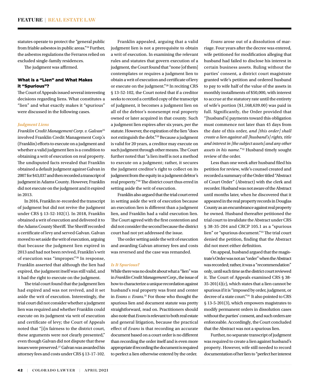statutes operate to protect the "general public from friable asbestos in public areas."24 Further, the asbestos regulations the Ferraros relied on excluded single-family residences.

The judgment was affirmed.

# What is a "Lien" and What Makes it "Spurious"?

The Court of Appeals issued several interesting decisions regarding liens. What constitutes a "lien" and what exactly makes it "spurious" were discussed in the following cases.

## *Judgment Liens*

*Franklin Credit Management Corp. v. Galvan*<sup>25</sup> involved Franklin Credit Management Corp.'s (Franklin) efforts to execute on a judgment and whether a valid judgment lien is a condition to obtaining a writ of execution on real property. The undisputed facts revealed that Franklin obtained a default judgment against Galvan in 2007 for \$43,037 and then recorded a transcript of judgment in Adams County. However, Franklin did not execute on the judgment and it expired in 2013.

In 2016, Franklin re-recorded the transcript of judgment but did not revive the judgment under CRS § 13-52-102(1). In 2018, Franklin obtained a writ of execution and delivered it to the Adams County Sheriff. The Sheriff recorded a certificate of levy and served Galvan. Galvan moved to set aside the writ of execution, arguing that because the judgment lien expired in 2013 and had not been revived, Franklin's writ of execution was "improper."26 In response, Franklin asserted that although the lien had expired, the judgment itself was still valid, and it had the right to execute on the judgment.

The trial court found that the judgment lien had expired and was not revived, and it set aside the writ of execution. Interestingly, the trial court did not consider whether a judgment lien was required and whether Franklin could execute on its judgment via writ of execution and certificate of levy; the Court of Appeals noted that "[i]n fairness to the district court, these arguments were not clearly presented," even though Galvan did not dispute that these issues were preserved.<sup>27</sup> Galvan was awarded his attorney fees and costs under CRS § 13-17-102.

Franklin appealed, arguing that a valid judgment lien is not a prerequisite to obtain a writ of execution. In examining the relevant rules and statutes that govern execution of a judgment, the Court found that "none [of them] contemplates or requires a judgment lien to obtain a writ of execution and certificate of levy or execute on the judgment."28 In reciting CRS § 13-52-102, the Court noted that if a creditor seeks to record a certified copy of the transcript of judgment, it becomes a judgment lien on all of the debtor's nonexempt real property owned or later acquired in that county. Such a judgment lien expires after six years, per the statute. However, the expiration of the lien "does not extinguish the debt."29 Because a judgment is valid for 20 years, a creditor may execute on such judgment through other means. The Court further noted that "a lien itself is not a method to execute on a judgment; rather, it secures the judgment creditor's right to collect on its judgment from the equity in a judgment debtor's real property."30 The district court thus erred in setting aside the writ of execution.

Franklin also argued that the trial court erred in setting aside the writ of execution because an execution lien is different than a judgment lien, and Franklin had a valid execution lien. The Court agreed with the first contention and did not consider the second because the district court had not yet addressed the issue.

The order setting aside the writ of execution and awarding Galvan attorney fees and costs was reversed and the case was remanded.

#### *Is It Spurious?*

While there was no doubt about what a "lien" was in *Franklin Credit Management Corp*., the issue of how to characterize a unique recordation against husband's real property was front and center in *Evans v. Evans.*31 For those who thought the spurious lien and document statute was pretty straightforward, read on. Practitioners should also note that *Evans* is relevant to both real estate and general litigation, because the practical effect of *Evans* is that recording an accurate document based on a court order is no different than recording the order itself and is even more appropriate if recording the document is required to perfect a lien otherwise entered by the order.

*Evans* arose out of a dissolution of marriage. Four years after the decree was entered, wife petitioned for modification alleging that husband had failed to disclose his interest in certain business assets. Ruling without the parties' consent, a district court magistrate granted wife's petition and ordered husband to pay to wife half of the value of the assets in monthly installments of \$50,000, with interest to accrue at the statutory rate until the entirety of wife's portion (\$1,168,639.00) was paid in full. Significantly, the Order provided that "[husband's] payments toward this obligation must commence not later than 45 days from the date of this order, *and [this order] shall create a lien against all [husband's] rights, title and interest in [the subject assets] and any other assets in his name.*"32 Husband timely sought review of the order.

Less than one week after husband filed his petition for review, wife's counsel created and recorded a summary of the Order titled "Abstract of Court Order" (Abstract) with the clerk and recorder. Husband was not aware of the Abstract until months later, when he discovered that it appeared in the real property records in Douglas County as an encumbrance against real property he owned. Husband thereafter petitioned the trial court to invalidate the Abstract under CRS § 38-35-204 and CRCP 105.1 as a "spurious lien" or "spurious document."33 The trial court denied the petition, finding that the Abstract did not meet either definition.

On appeal, husband argued that the magistrate's Order was not an "order" when the Abstract was recorded; rather, it was a "recommendation" only, until such time as the district court reviewed it. The Court of Appeals examined CRS § 38- 35-201(4)(c), which states that a lien cannot be spurious if it is "imposed by order, judgment, or decree of a state court."34 It also pointed to CRS § 13-5-201(3), which empowers magistrates to modify permanent orders in dissolution cases without the parties' consent, and such orders are enforceable. Accordingly, the Court concluded that the Abstract was not a spurious lien.

Further, no separate transcript of judgment was required to create a lien against husband's property. However, wife still needed to record documentation of her lien to "perfect her interest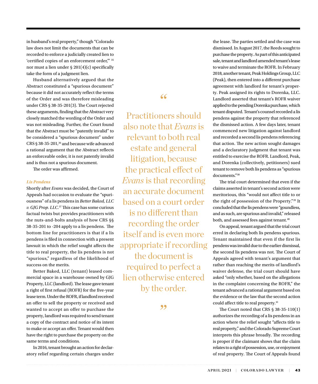in husband's real property," though "Colorado law does not limit the documents that can be recorded to enforce a judicially created lien to 'certified copies of an enforcement order,'" 35 nor must a lien under § 201(4)(c) specifically take the form of a judgment lien.

Husband alternatively argued that the Abstract constituted a "spurious document" because it did not accurately reflect the terms of the Order and was therefore misleading under CRS § 38-35-201(3). The Court rejected these arguments, finding that the Abstract very closely matched the wording of the Order and was not misleading. Further, the Court found that the Abstract must be "patently invalid" to be considered a "spurious document" under CRS § 38-35-201,<sup>36</sup> and because wife advanced a rational argument that the Abstract reflects an enforceable order, it is not patently invalid and is thus not a spurious document.

The order was affirmed.

# *Lis Pendens*

Shortly after *Evans* was decided, the Court of Appeals had occasion to evaluate the "spuriousness" of a lis pendens in *Better Baked, LLC v. GJG Prop. LLC*. 37 This case has some curious factual twists but provides practitioners with the nuts-and-bolts analysis of how CRS §§ 38-35-201 to -204 apply to a lis pendens. The bottom line for practitioners is that if a lis pendens is filed in connection with a present lawsuit in which the relief sought affects the title to real property, the lis pendens is not "spurious," regardless of the likelihood of success on the merits.

Better Baked, LLC (tenant) leased commercial space in a warehouse owned by GJG Property, LLC (landlord). The lease gave tenant a right of first refusal (ROFR) for the five-year lease term. Under the ROFR, if landlord received an offer to sell the property or received and wanted to accept an offer to purchase the property, landlord was required to send tenant a copy of the contract and notice of its intent to make or accept an offer. Tenant would then have the right to purchase the property on the same terms and conditions.

In 2016, tenant brought an action for declaratory relief regarding certain charges under "

Practitioners should also note that *Evans* is relevant to both real estate and general litigation, because the practical effect of *Evans* is that recording an accurate document based on a court order is no different than recording the order itself and is even more appropriate if recording the document is required to perfect a lien otherwise entered by the order.

,,

the lease. The parties settled and the case was dismissed. In August 2017, the Reeds sought to purchase the property. As part of this anticipated sale, tenant and landlord amended tenant's lease to waive and terminate the ROFR. In February 2018, another tenant, Peak Holdings Group, LLC (Peak), then entered into a different purchase agreement with landlord for tenant's property. Peak assigned its rights to Dorenka, LLC. Landlord asserted that tenant's ROFR waiver applied to the pending Dorenka purchase, which tenant disputed. Tenant's counsel recorded a lis pendens against the property that referenced the dismissed action. A few days later, tenant commenced new litigation against landlord and recorded a second lis pendens referencing that action. The new action sought damages and a declaratory judgment that tenant was entitled to exercise the ROFR. Landlord, Peak, and Dorenka (collectively, petitioners) sued tenant to remove both lis pendens as "spurious documents."38

The trial court determined that even if the claims asserted in tenant's second action were meritorious, this "would not affect title to or the right of possession of the Property."39 It concluded that the lis pendens were "goundless, and as such, are spurious and invalid," released both, and assessed fees against tenant.<sup>40</sup>

On appeal, tenant argued that the trial court erred in declaring both lis pendens spurious. Tenant maintained that even if the first lis pendens was invalid due to the earlier dismissal, the second lis pendens was not. The Court of Appeals agreed with tenant's argument that rather than reaching the merits of landlord's waiver defense, the trial court should have asked "only whether, based on the allegations in the complaint concerning the ROFR," the tenant advanced a rational argument based on the evidence or the law that the second action could affect title to real property.<sup>41</sup>

The Court noted that CRS § 38-35-110(1) authorizes the recording of a lis pendens in an action where the relief sought "affects title to real property," and the Colorado Supreme Court interprets this phrase broadly. The recording is proper if the claimant shows that the claim relates to a right of possession, use, or enjoyment of real property. The Court of Appeals found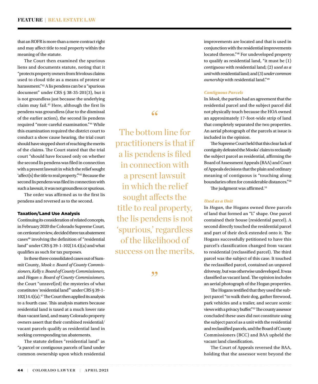that an ROFR is more than a mere contract right and may affect title to real property within the meaning of the statute.

The Court then examined the spurious liens and documents statute, noting that it "protects property owners from frivolous claims used to cloud title as a means of protest or harassment."42 A lis pendens can be a "spurious document" under CRS § 38-35-201(3), but it is not groundless just because the underlying claim may fail.43 Here, although the first lis pendens was groundless (due to the dismissal of the earlier action), the second lis pendens required "more careful examination."44 While this examination required the district court to conduct a show cause hearing, the trial court should have stopped short of reaching the merits of the claims. The Court stated that the trial court "should have focused only on whether the second lis pendens was filed in connection with a present lawsuit in which the relief sought 'affect[s] the title to real property.'"45 Because the second lis pendens was filed in connection with such a lawsuit, it was not groundless or spurious.

The order was affirmed as to the first lis pendens and reversed as to the second.

# Taxation/Land Use Analysis

Continuing its consideration of related concepts, in February 2020 the Colorado Supreme Court, on certiorari review, decided three tax abatement cases46 involving the definition of "residential land" under CRS § 39-1-102(14.4)(a) and what qualifies as such for tax purposes.

In these three consolidated cases out of Summit County, *Mook v. Board of County Commissioners*, *Kelly v. Board of County Commissioners*, and *Hogan v. Board of County Commissioners*, the Court "unravel[ed] the mysteries of what constitutes 'residential land'" under CRS § 39-1-  $102(14.4)(a)$ .<sup>47</sup>The Court then applied its analysis to a fourth case. This analysis matters because residential land is taxed at a much lower rate than vacant land, and many Colorado property owners assert that their combined residential/ vacant parcels qualify as residential land in seeking corresponding tax abatements.

The statute defines "residential land" as "a parcel or contiguous parcels of land under common ownership upon which residential

The bottom line for practitioners is that if a lis pendens is filed in connection with a present lawsuit in which the relief

"

sought affects the title to real property, the lis pendens is not 'spurious,' regardless of the likelihood of success on the merits.

,,

improvements are located and that is used in conjunction with the residential improvements located thereon."48 For undeveloped property to qualify as residential land, "it must be (1) *contiguous* with residential land; (2) *used as a unit* with residential land; and (3) *under common ownership* with residential land."49

# *Contiguous Parcels*

In *Mook*, the parties had an agreement that the residential parcel and the subject parcel did not physically touch because the HOA owned an approximately 17-foot-wide strip of land that completely separated the two properties. An aerial photograph of the parcels at issue is included in the opinion.

The Supreme Court held that this clear lack of contiguity defeated the Mooks' claim to reclassify the subject parcel as residential, affirming the Board of Assessment Appeals (BAA) and Court of Appeals decisions that the plain and ordinary meaning of contiguous is "touching along boundaries often for considerable distances."50

The judgment was affirmed.<sup>51</sup>

## *Used as a Unit*

In *Hogan*, the Hogans owned three parcels of land that formed an "L" shape. One parcel contained their house (residential parcel). A second directly touched the residential parcel and part of their deck extended onto it. The Hogans successfully petitioned to have this parcel's classification changed from vacant to residential (reclassified parcel). The third parcel was the subject of this case. It touched the reclassified parcel, contained an unpaved driveway, but was otherwise undeveloped. It was classified as vacant land. The opinion includes an aerial photograph of the Hogan properties.

The Hogans testified that they used the subject parcel "to walk their dog, gather firewood, park vehicles and a trailer, and secure scenic views with a privacy buffer."52 The county assessor concluded these uses did not constitute using the subject parcel as a unit with the residential and reclassified parcels, and the Board of County Commissioners (BCC) and BAA upheld the vacant land classification.

The Court of Appeals reversed the BAA, holding that the assessor went beyond the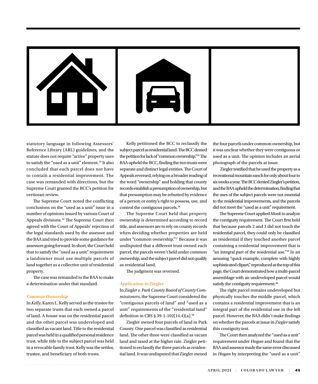

statutory language in following Assessors' Reference Library (ARL) guidelines, and the statute does not require "active" property uses to satisfy the "used as a unit" element.53 It also concluded that each parcel does not have to contain a residential improvement. The case was remanded with directions, but the Supreme Court granted the BCC's petition for certiorari review.

The Supreme Court noted the conflicting conclusions on the "used as a unit" issue in a number of opinions issued by various Court of Appeals divisions.<sup>54</sup> The Supreme Court then agreed with the Court of Appeals' rejection of the legal standards used by the assessor and the BAA and tried to provide some guidance for assessors going forward. In short, the Court held that to satisfy the "used as a unit" requirement a landowner must use multiple parcels of land together as a collective unit of residential property.

The case was remanded to the BAA to make a determination under that standard.

## *Common Ownership*

In *Kelly*, Karen L. Kelly served as the trustee for two separate trusts that each owned a parcel of land. A house was on the residential parcel and the other parcel was undeveloped and classified as vacant land. Title to the residential parcel was held in a qualified personal residence trust, while title to the subject parcel was held in a revocable family trust. Kelly was the settlor, trustee, and beneficiary of both trusts.

Kelly petitioned the BCC to reclassify the subject parcel as residential land. The BCC denied the petition for lack of "common ownership."55 The BAA upheld the BCC, finding the two trusts were separate and distinct legal entities. The Court of Appeals reversed, relying on a broader reading of the word "ownership" and holding that county records establish a presumption of ownership, but that presumption may be rebutted by evidence of a person or entity's right to possess, use, and control the contiguous parcels.56

The Supreme Court held that property ownership is determined according to record title, and assessors are to rely on county records when deciding whether properties are held under "common ownership."57 Because it was undisputed that a different trust owned each parcel, the parcels weren't held under common ownership, and the subject parcel did not qualify as residential land.

The judgment was reversed.

## *Application to* **Ziegler**

In *Ziegler v. Park County Board of County Commissioners*, the Supreme Court considered the "contiguous parcels of land" and "used as a unit" requirements of the "residential land" definition in CRS § 39-1-102(14.4)(a).58

Ziegler owned four parcels of land in Park County. One parcel was classified as residential land. The other three were classified as vacant land and taxed at the higher rate. Ziegler petitioned to reclassify the three parcels as residential land. It was undisputed that Ziegler owned

the four parcels under common ownership, but it was unclear whether they were contiguous or used as a unit. The opinion includes an aerial photograph of the parcels at issue.

 Ziegler testified that he used the property as a recreational mountain ranch for only about four to six weeks a year. The BCC denied Ziegler's petition, and the BAA upheld the determination, finding that the uses of the subject parcels were not essential to the residential improvements, and the parcels did not meet the "used as a unit" requirement.

The Supreme Court applied *Mook* to analyze the contiguity requirement. The Court first held that because parcels 2 and 3 did not touch the residential parcel, they could only be classified as residential if they touched another parcel containing a residential improvement that is "an integral part of the residential use."59 In an amusing "quick example, complete with highly sophisticated clipart," reproduced at the top of this page, the Court demonstrated how a multi-parcel assemblage with an undeveloped parcel would satisfy the contiguity requirement.<sup>60</sup>

The right parcel remains undeveloped but physically touches the middle parcel, which contains a residential improvement that is an integral part of the residential use in the left parcel. However, the BAA didn't make findings on whether the parcels at issue in *Ziegler* satisfy this contiguity test.

The Court then analyzed the "used as a unit" requirement under *Hogan* and found that the BAA and assessor made the same error discussed in *Hogan* by interpreting the "used as a unit"